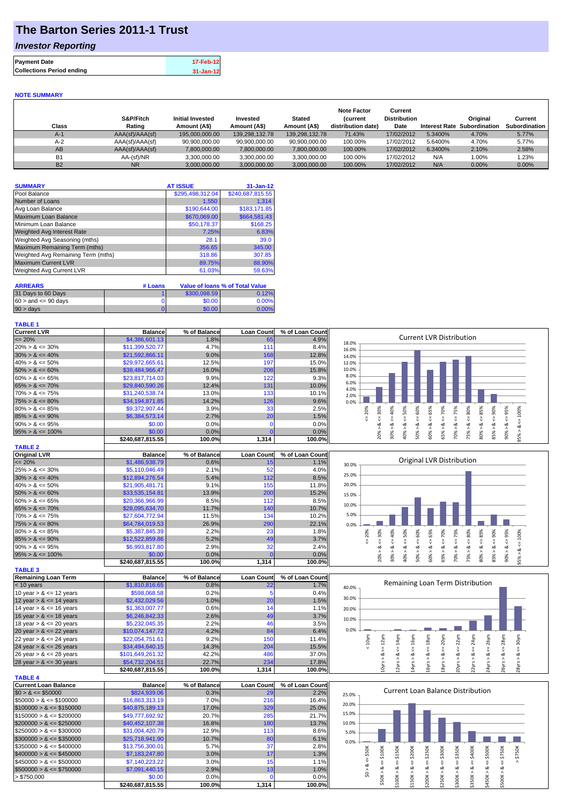## **The Barton Series 2011-1 Trust**

### *Investor Reporting*

| <b>Payment Date</b>              | 17-Feb-12 |
|----------------------------------|-----------|
| <b>Collections Period ending</b> | 31-Jan-12 |

#### **NOTE SUMMARY**

| Class     | S&P/Fitch<br>Rating | <b>Initial Invested</b><br>Amount (A\$) | Invested<br>Amount (A\$) | <b>Stated</b><br>Amount (A\$) | <b>Note Factor</b><br><b>Current</b><br>distribution date) | Current<br><b>Distribution</b><br>Date | <b>Interest Rate</b> | Original<br>Subordination | Current<br>Subordination |
|-----------|---------------------|-----------------------------------------|--------------------------|-------------------------------|------------------------------------------------------------|----------------------------------------|----------------------|---------------------------|--------------------------|
| $A-1$     | AAA(sf)/AAA(sf)     | 195.000.000.00                          | 139.298.132.78           | 139.298.132.78                | 71.43%                                                     | 17/02/2012                             | 5.3400%              | 4.70%                     | 5.77%                    |
| $A-2$     | AAA(sf)/AAA(sf)     | 90.900.000.00                           | 90.900.000.00            | 90.900.000.00                 | 100.00%                                                    | 17/02/2012                             | 5.6400%              | 4.70%                     | 5.77%                    |
| AB        | AAA(sf)/AAA(sf)     | 7,800,000.00                            | 7.800.000.00             | 7,800,000.00                  | 100.00%                                                    | 17/02/2012                             | 6.3400%              | 2.10%                     | 2.58%                    |
| <b>B1</b> | AA-(sf)/NR          | 3.300.000.00                            | 3.300.000.00             | 3.300.000.00                  | 100.00%                                                    | 17/02/2012                             | N/A                  | $1.00\%$                  | 1.23%                    |
| <b>B2</b> | <b>NR</b>           | 3.000.000.00                            | 3.000.000.00             | 3.000.000.00                  | 100.00%                                                    | 17/02/2012                             | N/A                  | 0.00%                     | $0.00\%$                 |

| <b>SUMMARY</b>                     | <b>AT ISSUE</b>  | $31 - Jan-12$    |
|------------------------------------|------------------|------------------|
| Pool Balance                       | \$295,498,312.04 | \$240,687,815.55 |
| Number of Loans                    | 1,550            | 1.314            |
| Avg Loan Balance                   | \$190,644.00     | \$183,171.85     |
| <b>Maximum Loan Balance</b>        | \$670,069.00     | \$664,581.43     |
| Minimum Loan Balance               | \$50,178.37      | \$168.25         |
| <b>Weighted Avg Interest Rate</b>  | 7.25%            | 6.83%            |
| Weighted Avg Seasoning (mths)      | 28.1             | 39.0             |
| Maximum Remaining Term (mths)      | 356.65           | 345.00           |
| Weighted Avg Remaining Term (mths) | 318.86           | 307.85           |
| <b>Maximum Current LVR</b>         | 89.75%           | 88.90%           |
| Weighted Avg Current LVR           | 61.03%           | 59.63%           |

| <b>ARREARS</b>            | # Loans |              | Value of Ioans % of Total Value |
|---------------------------|---------|--------------|---------------------------------|
| 31 Days to 60 Days        |         | \$300,098.59 | 0.12%                           |
| $60 >$ and $\leq 90$ davs |         | \$0.00       | 0.00%                           |
| $90 > \text{days}$        |         | \$0.00       | 0.00%                           |

| <b>TABLE 1</b>       |                  |              |                   |                 |                                                                        |
|----------------------|------------------|--------------|-------------------|-----------------|------------------------------------------------------------------------|
| <b>Current LVR</b>   | <b>Balance</b>   | % of Balance | <b>Loan Count</b> | % of Loan Count |                                                                        |
| $\leq$ 20%           | \$4,386,601.13   | 1.8%         | 65                | 4.9%            | Current LVR Distribution<br>18.0%                                      |
| $20\% > 8 \le 30\%$  | \$11,399,520.77  | 4.7%         | 11 <sup>1</sup>   | 8.4%            | 16.0%                                                                  |
| $30\% > 8 \le 40\%$  | \$21,592,866.11  | 9.0%         | 168               | 12.8%           | 14.0%                                                                  |
| $40\% > 8 \le 50\%$  | \$29,972,665.61  | 12.5%        | 197               | 15.0%           | 12.0%                                                                  |
| $50\% > 8 \le 60\%$  | \$38,484,966.47  | 16.0%        | 208               | 15.8%           | 10.0%                                                                  |
| $60\% > 8 \le 65\%$  | \$23,817,714.03  | 9.9%         | 122               | 9.3%            | 8.0%                                                                   |
| $65\% > 8 \le 70\%$  | \$29,840,590.26  | 12.4%        | 131               | 10.0%           | 6.0%<br>4.0%                                                           |
| $70\% > 8 \le 75\%$  | \$31,240,538.74  | 13.0%        | 133               | 10.1%           | 2.0%                                                                   |
| $75\% > 8 \le 80\%$  | \$34,194,871.85  | 14.2%        | 126               | 9.6%            | 0.0%                                                                   |
| $80\% > 8 \le 85\%$  | \$9,372,907.44   | 3.9%         | 33                | 2.5%            | 40%<br>70%<br>℅<br>Š<br>in.<br>Ř<br>Š<br>8<br>ю<br>m<br>င္က            |
| $85\% > 8 \le 90\%$  | \$6,384,573.14   | 2.7%         | 20 <sub>l</sub>   | 1.5%            | ā                                                                      |
| $90\% > 8 \le 95\%$  | \$0.00           | $0.0\%$      |                   | $0.0\%$         | οZί                                                                    |
| $95\% > 8 \le 100\%$ | \$0.00           | $0.0\%$      |                   | 0.0%            | 80%<br>ð<br>ð                                                          |
|                      | \$240.687.815.55 | 100.0%       | 1,314             | 100.0%          | ă<br>š<br>∘<br>∘<br>$\bar{N}$<br>$\infty$<br>١ō<br>$\overline{ }$<br>œ |

| <b>TABLE 2</b>       |                  |              |                   |                 |  |
|----------------------|------------------|--------------|-------------------|-----------------|--|
| <b>Original LVR</b>  | <b>Balance</b>   | % of Balance | <b>Loan Count</b> | % of Loan Count |  |
| $\leq$ 20%           | \$1,486,938.79   | 0.6%         | 15 <sub>l</sub>   | 1.1%            |  |
| $25\% > 8 \le 30\%$  | \$5,110,046.49   | 2.1%         | 52                | 4.0%            |  |
| $30\% > 8 \le 40\%$  | \$12,894,276.54  | 5.4%         | 112               | 8.5%            |  |
| $40\% > 8 \le 50\%$  | \$21,905,481.71  | 9.1%         | 155               | 11.8%           |  |
| $50\% > 8 \le 60\%$  | \$33,535,154.81  | 13.9%        | 200               | 15.2%           |  |
| $60\% > 8 \le 65\%$  | \$20,366,966.99  | 8.5%         | 112               | 8.5%            |  |
| $65\% > 8 \le 70\%$  | \$28,095,634.70  | 11.7%        | 140               | 10.7%           |  |
| $70\% > 8 \le 75\%$  | \$27,604,772.94  | 11.5%        | 134               | 10.2%           |  |
| $75\% > 8 \le 80\%$  | \$64,784,019.53  | 26.9%        | 290               | 22.1%           |  |
| $80\% > 8 \le 85\%$  | \$5,387,845.39   | 2.2%         | 23                | 1.8%            |  |
| $85\% > 8 \le 90\%$  | \$12,522,859.86  | 5.2%         | 49                | 3.7%            |  |
| $90\% > 8 \le 95\%$  | \$6,993,817.80   | 2.9%         | 32                | 2.4%            |  |
| $95\% > 8 \le 100\%$ | \$0.00           | 0.0%         | $\Omega$          | 0.0%            |  |
|                      | \$240,687,815.55 | 100.0%       | 1,314             | 100.0%          |  |

| <b>TABLE 3</b>             |                  |              |                   |                 |
|----------------------------|------------------|--------------|-------------------|-----------------|
| <b>Remaining Loan Term</b> | <b>Balance</b>   | % of Balance | <b>Loan Count</b> | % of Loan Count |
| $< 10$ years               | \$1,810,816.65   | 0.8%         | 22                | 1.7%            |
| 10 year $> 8 \le 12$ years | \$598,068.58     | 0.2%         |                   | 0.4%            |
| 12 year $> 8 \le 14$ years | \$2,432,029.56   | 1.0%         | 20                | 1.5%            |
| 14 year $> 8 \le 16$ years | \$1,363,007.77   | 0.6%         | 14                | 1.1%            |
| 16 year $> 8 \le 18$ years | \$6,246,842.33   | 2.6%         | 49                | 3.7%            |
| 18 year $> 8 \le 20$ years | \$5,232,045.35   | 2.2%         | 46                | 3.5%            |
| 20 year $> 8 \le 22$ years | \$10,074,147.72  | 4.2%         | 84                | 6.4%            |
| 22 year $> 8 \le 24$ years | \$22,054,751.61  | 9.2%         | 150               | 11.4%           |
| 24 year $> 8 \le 26$ years | \$34,494,640.15  | 14.3%        | 204               | 15.5%           |
| 26 year $> 8 \le 28$ years | \$101,649,261.32 | 42.2%        | 486               | 37.0%           |
| 28 year $> 8 \le 30$ years | \$54,732,204.51  | 22.7%        | 234               | 17.8%           |
|                            | \$240.687.815.55 | 100.0%       | 1,314             | 100.0%l         |

| <b>TABLE 4</b>               |                  |              |                   |                 |
|------------------------------|------------------|--------------|-------------------|-----------------|
| Current Loan Balance         | <b>Balance</b>   | % of Balance | <b>Loan Count</b> | % of Loan Count |
| $$0 > 8 \leq $50000$         | \$824,939,06     | 0.3%         | 29                | 2.2%            |
| $$50000 > 8 \leq $100000$    | \$16,863,313.19  | 7.0%         | 216               | 16.4%           |
| $$100000 > 8 \leq $150000$   | \$40,875,189,13  | 17.0%        | 329               | 25.0%           |
| $$150000 > 8 \leq $200000$   | \$49,777,692,92  | 20.7%        | 285               | 21.7%           |
| $$200000 > 8 \leq $250000$   | \$40,452,107,38  | 16.8%        | 180               | 13.7%           |
| $$250000 > 8 \leq $300000$   | \$31.004.420.79  | 12.9%        | 113               | 8.6%            |
| $$300000 > 8 \leq $350000$   | \$25.718.941.90  | 10.7%        | 80                | 6.1%            |
| $\$350000 > 8 \leq \$400000$ | \$13,756,300.01  | 5.7%         | 37                | 2.8%            |
| $$400000 > 8 \leq $450000$   | \$7.183.247.80   | 3.0%         | 17                | 1.3%            |
| $$450000 > 8 \leq $500000$   | \$7,140,223.22   | 3.0%         | 15                | 1.1%            |
| $$500000 > 8 \leq $750000$   | \$7,091,440.15   | 2.9%         | 13                | 1.0%            |
| > \$750,000                  | \$0.00           | 0.0%         |                   | 0.0%            |
|                              | \$240.687.815.55 | 100.0%       | 1.314             | 100.0%          |